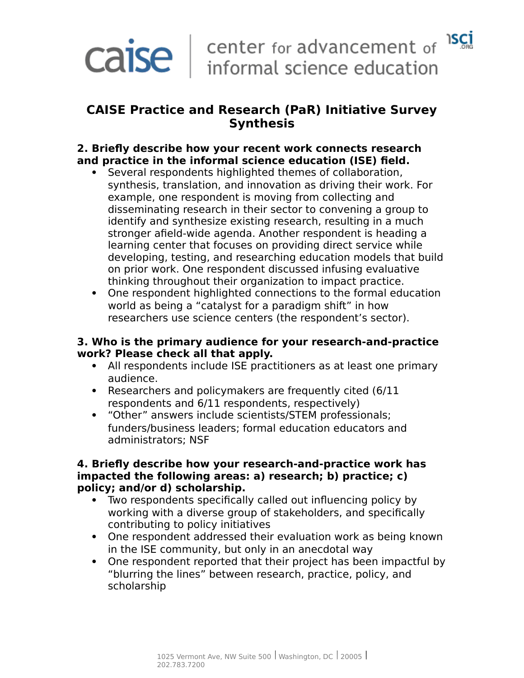# **CAISE Practice and Research (PaR) Initiative Survey Synthesis**

## **2. Briefly describe how your recent work connects research and practice in the informal science education (ISE) field.**

- Several respondents highlighted themes of collaboration, synthesis, translation, and innovation as driving their work. For example, one respondent is moving from collecting and disseminating research in their sector to convening a group to identify and synthesize existing research, resulting in a much stronger afield-wide agenda. Another respondent is heading a learning center that focuses on providing direct service while developing, testing, and researching education models that build on prior work. One respondent discussed infusing evaluative thinking throughout their organization to impact practice.
- One respondent highlighted connections to the formal education world as being a "catalyst for a paradigm shift" in how researchers use science centers (the respondent's sector).

#### **3. Who is the primary audience for your research-and-practice work? Please check all that apply.**

- All respondents include ISE practitioners as at least one primary audience.
- Researchers and policymakers are frequently cited (6/11 respondents and 6/11 respondents, respectively)
- "Other" answers include scientists/STEM professionals; funders/business leaders; formal education educators and administrators; NSF

#### **4. Briefly describe how your research-and-practice work has impacted the following areas: a) research; b) practice; c) policy; and/or d) scholarship.**

- Two respondents specifically called out influencing policy by working with a diverse group of stakeholders, and specifically contributing to policy initiatives
- One respondent addressed their evaluation work as being known in the ISE community, but only in an anecdotal way
- One respondent reported that their project has been impactful by "blurring the lines" between research, practice, policy, and scholarship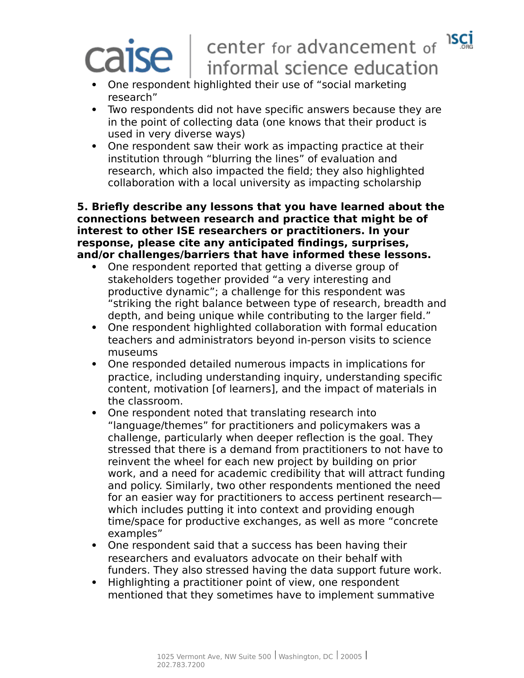#### **ISCİ** center for advancement of  $\mathsf{I}\mathsf{S}\mathsf{e}$ informal science education

- One respondent highlighted their use of "social marketing research"
- Two respondents did not have specific answers because they are in the point of collecting data (one knows that their product is used in very diverse ways)
- One respondent saw their work as impacting practice at their institution through "blurring the lines" of evaluation and research, which also impacted the field; they also highlighted collaboration with a local university as impacting scholarship

**5. Briefly describe any lessons that you have learned about the connections between research and practice that might be of interest to other ISE researchers or practitioners. In your response, please cite any anticipated findings, surprises, and/or challenges/barriers that have informed these lessons.**

- One respondent reported that getting a diverse group of stakeholders together provided "a very interesting and productive dynamic"; a challenge for this respondent was "striking the right balance between type of research, breadth and depth, and being unique while contributing to the larger field."
- One respondent highlighted collaboration with formal education teachers and administrators beyond in-person visits to science museums
- One responded detailed numerous impacts in implications for practice, including understanding inquiry, understanding specific content, motivation [of learners], and the impact of materials in the classroom.
- One respondent noted that translating research into "language/themes" for practitioners and policymakers was a challenge, particularly when deeper reflection is the goal. They stressed that there is a demand from practitioners to not have to reinvent the wheel for each new project by building on prior work, and a need for academic credibility that will attract funding and policy. Similarly, two other respondents mentioned the need for an easier way for practitioners to access pertinent research which includes putting it into context and providing enough time/space for productive exchanges, as well as more "concrete examples"
- One respondent said that a success has been having their researchers and evaluators advocate on their behalf with funders. They also stressed having the data support future work.
- Highlighting a practitioner point of view, one respondent mentioned that they sometimes have to implement summative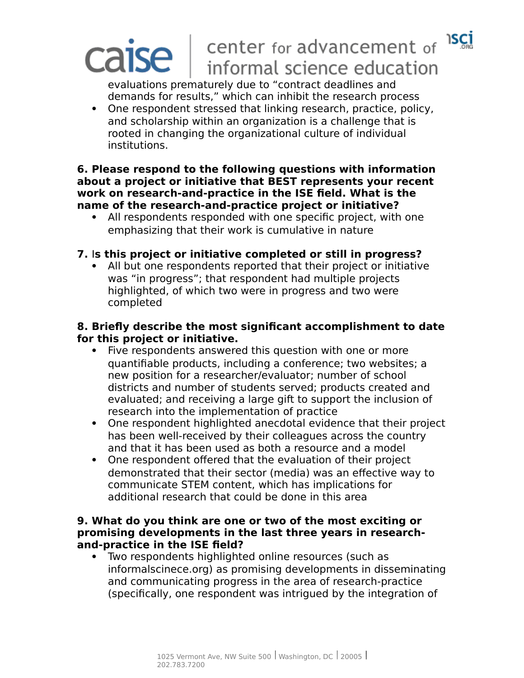#### **ISCI** center for advancement of **ISE** informal science education

evaluations prematurely due to "contract deadlines and demands for results," which can inhibit the research process

 One respondent stressed that linking research, practice, policy, and scholarship within an organization is a challenge that is rooted in changing the organizational culture of individual institutions.

#### **6. Please respond to the following questions with information about a project or initiative that BEST represents your recent work on research-and-practice in the ISE field. What is the name of the research-and-practice project or initiative?**

 All respondents responded with one specific project, with one emphasizing that their work is cumulative in nature

## **7.** I**s this project or initiative completed or still in progress?**

 All but one respondents reported that their project or initiative was "in progress"; that respondent had multiple projects highlighted, of which two were in progress and two were completed

## **8. Briefly describe the most significant accomplishment to date for this project or initiative.**

- Five respondents answered this question with one or more quantifiable products, including a conference; two websites; a new position for a researcher/evaluator; number of school districts and number of students served; products created and evaluated; and receiving a large gift to support the inclusion of research into the implementation of practice
- One respondent highlighted anecdotal evidence that their project has been well-received by their colleagues across the country and that it has been used as both a resource and a model
- One respondent offered that the evaluation of their project demonstrated that their sector (media) was an effective way to communicate STEM content, which has implications for additional research that could be done in this area

#### **9. What do you think are one or two of the most exciting or promising developments in the last three years in researchand-practice in the ISE field?**

 Two respondents highlighted online resources (such as informalscinece.org) as promising developments in disseminating and communicating progress in the area of research-practice (specifically, one respondent was intrigued by the integration of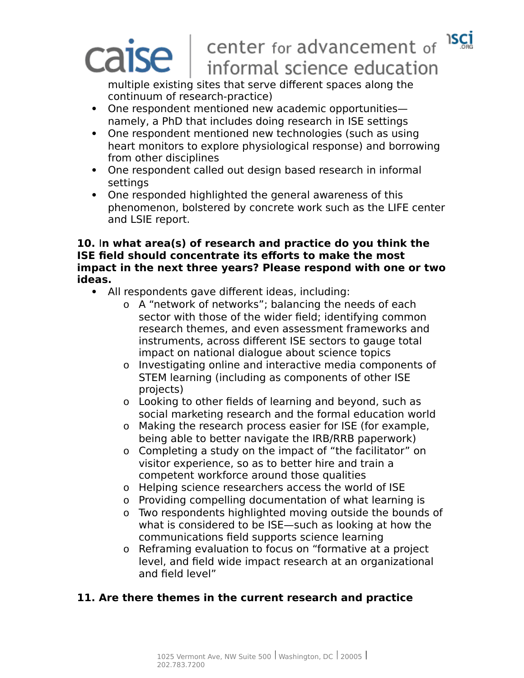# **ISCI**

# center for advancement of **ISE** informal science education

multiple existing sites that serve different spaces along the continuum of research-practice)

- One respondent mentioned new academic opportunities namely, a PhD that includes doing research in ISE settings
- One respondent mentioned new technologies (such as using heart monitors to explore physiological response) and borrowing from other disciplines
- One respondent called out design based research in informal settings
- One responded highlighted the general awareness of this phenomenon, bolstered by concrete work such as the LIFE center and LSIE report.

#### **10.** I**n what area(s) of research and practice do you think the ISE field should concentrate its efforts to make the most impact in the next three years? Please respond with one or two ideas.**

- All respondents gave different ideas, including:
	- o A "network of networks"; balancing the needs of each sector with those of the wider field; identifying common research themes, and even assessment frameworks and instruments, across different ISE sectors to gauge total impact on national dialogue about science topics
	- o Investigating online and interactive media components of STEM learning (including as components of other ISE projects)
	- o Looking to other fields of learning and beyond, such as social marketing research and the formal education world
	- o Making the research process easier for ISE (for example, being able to better navigate the IRB/RRB paperwork)
	- o Completing a study on the impact of "the facilitator" on visitor experience, so as to better hire and train a competent workforce around those qualities
	- o Helping science researchers access the world of ISE
	- o Providing compelling documentation of what learning is
	- o Two respondents highlighted moving outside the bounds of what is considered to be ISE—such as looking at how the communications field supports science learning
	- o Reframing evaluation to focus on "formative at a project level, and field wide impact research at an organizational and field level"

# **11. Are there themes in the current research and practice**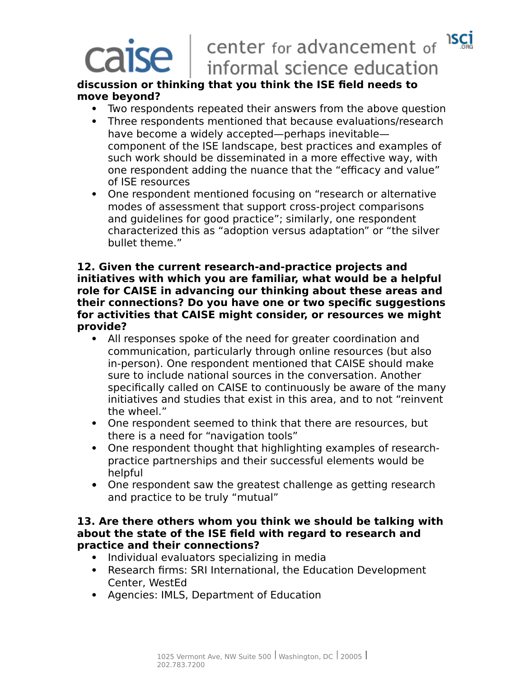#### **ISCI** center for advancement of se l informal science education

#### **discussion or thinking that you think the ISE field needs to move beyond?**

- Two respondents repeated their answers from the above question
- Three respondents mentioned that because evaluations/research have become a widely accepted—perhaps inevitable component of the ISE landscape, best practices and examples of such work should be disseminated in a more effective way, with one respondent adding the nuance that the "efficacy and value" of ISE resources
- One respondent mentioned focusing on "research or alternative modes of assessment that support cross-project comparisons and guidelines for good practice"; similarly, one respondent characterized this as "adoption versus adaptation" or "the silver bullet theme."

#### **12. Given the current research-and-practice projects and initiatives with which you are familiar, what would be a helpful role for CAISE in advancing our thinking about these areas and their connections? Do you have one or two specific suggestions for activities that CAISE might consider, or resources we might provide?**

- All responses spoke of the need for greater coordination and communication, particularly through online resources (but also in-person). One respondent mentioned that CAISE should make sure to include national sources in the conversation. Another specifically called on CAISE to continuously be aware of the many initiatives and studies that exist in this area, and to not "reinvent the wheel."
- One respondent seemed to think that there are resources, but there is a need for "navigation tools"
- One respondent thought that highlighting examples of researchpractice partnerships and their successful elements would be helpful
- One respondent saw the greatest challenge as getting research and practice to be truly "mutual"

#### **13. Are there others whom you think we should be talking with about the state of the ISE field with regard to research and practice and their connections?**

- Individual evaluators specializing in media
- Research firms: SRI International, the Education Development Center, WestEd
- Agencies: IMLS, Department of Education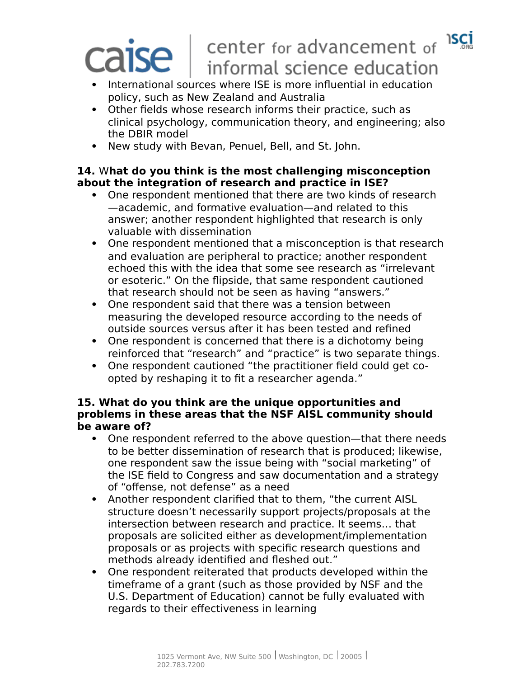**ISCI** 

# center for advancement of **ISE** informal science education

- International sources where ISE is more influential in education policy, such as New Zealand and Australia
- Other fields whose research informs their practice, such as clinical psychology, communication theory, and engineering; also the DBIR model
- New study with Bevan, Penuel, Bell, and St. John.

## **14.** W**hat do you think is the most challenging misconception about the integration of research and practice in ISE?**

- One respondent mentioned that there are two kinds of research —academic, and formative evaluation—and related to this answer; another respondent highlighted that research is only valuable with dissemination
- One respondent mentioned that a misconception is that research and evaluation are peripheral to practice; another respondent echoed this with the idea that some see research as "irrelevant or esoteric." On the flipside, that same respondent cautioned that research should not be seen as having "answers."
- One respondent said that there was a tension between measuring the developed resource according to the needs of outside sources versus after it has been tested and refined
- One respondent is concerned that there is a dichotomy being reinforced that "research" and "practice" is two separate things.
- One respondent cautioned "the practitioner field could get coopted by reshaping it to fit a researcher agenda."

#### **15. What do you think are the unique opportunities and problems in these areas that the NSF AISL community should be aware of?**

- One respondent referred to the above question—that there needs to be better dissemination of research that is produced; likewise, one respondent saw the issue being with "social marketing" of the ISE field to Congress and saw documentation and a strategy of "offense, not defense" as a need
- Another respondent clarified that to them, "the current AISL structure doesn't necessarily support projects/proposals at the intersection between research and practice. It seems… that proposals are solicited either as development/implementation proposals or as projects with specific research questions and methods already identified and fleshed out."
- One respondent reiterated that products developed within the timeframe of a grant (such as those provided by NSF and the U.S. Department of Education) cannot be fully evaluated with regards to their effectiveness in learning